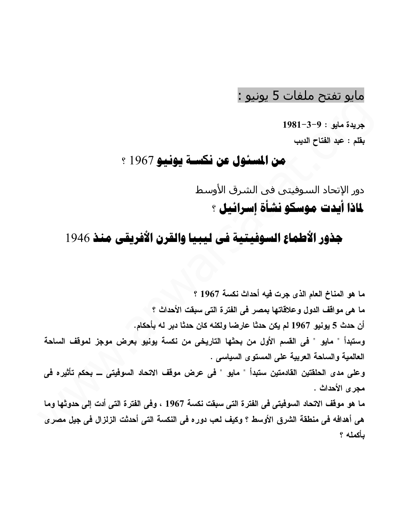## مايو تفتح ملفات 5 يونيو :

 $1981-3-9$ : جريدة مابو

بقلم : عبد الفتاح الديب

## من المسئول عن نكسة يونيو 1967 ؟

دور الإتحاد السـوفيتي في الشـرق الأوسط لماذا أيدت موسكو نشأة إسرائيل ؟

## جذور الأطماع السوفيتية في ليبيا والقرن الأفريقي منذ 1946

ما هو المناخ العام الذي جرت فيه أحداث نكسة 1967 ؟ ما هي مواقف الدول وعلاقاتها بمصر في الفترة التي سبقت الأحداث ؟ أن حدث 5 يونيو 1967 لم يكن حدثا عارضا ولكنه كان حدثا دبر له بأحكام. وستبدأ " مايو " في القسم الأول من بحثها التاريخي من نكسة يونيو بعرض موجز لموقف الساحة العالمية والساحة العربية على المستوى السياسي . وعلى مدى الحلقتين القادمتين ستبدأ " مايو " في عرض موقف الاتحاد السوفيتي ـــ بحكم تأثيره في مجر ي الأحداث . ما هو موقف الاتحاد السوفيتي في الفترة التي سبقت نكسة 1967 ، وفي الفترة التي أدت إلى حدوثها وما هي أهدافه في منطقة الشرق الأوسط ؟ وكيف لعب دوره في النكسة التي أحدثت الزلزال في جيل مصر ي يأكمله ؟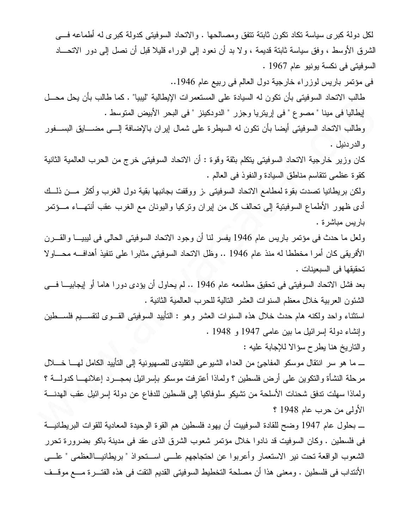لكل دولة كبرى سياسة نكاد نكون ثابتة نتفق ومصالحها . والانحاد السوفيتي كدولة كبرى له أطماعه في الشرق الأوسط ، وفق سياسة ثابتة قديمة ، ولا بد أن نعود إلى الوراء قليلا قبل أن نصل إلى دور الاتحـــاد السوفيتي في نكسة يونيو عام 1967 .

في مؤتمر باريس لوزراء خارجية دول العالم في ربيع عام 1946..

طالب الاتحاد السوفيتي بأن تكون له السيادة على المستعمرات الإيطالية "ليبيا" . كما طالب بأن يحل محـــل إيطاليا في مينا " مصوع " في إريتريا وجزر " الدودكينز " في البحر الأبيض المتوسط .

وطالب الاتحاد السوفيتي أيضا بأن نكون له السيطرة على شمال إيران بالإضافة إلـــي مضــــابق البســـفور و الدر دنيل .

كان وزير خارجية الاتحاد السوفيتي يتكلم بثقة وقوة : أن الاتحاد السوفيتي خرج من الحرب العالمية الثانية كقوة عظمى تتقاسم مناطق السيادة والنفوذ في العالم .

ولكن بريطانيا نصدت بقوة لمطامع الانحاد السوفيتي .ز ووقفت بجانبها بقية دول الغرب وأكثر مـــن ذلـــك أدى ظهور الأطماع السوفيتية إلى نحالف كل من إيران ونركيا واليونان مع الغرب عقب أنتهـــاء مـــؤتمر باريس مباشرة .

ولعل ما حدث في مؤتمر باريس عام 1946 يفسر لنا أن وجود الاتحاد السوفيتي الحالي في ليبيـــا والقـــرن الأفريقي كان أمر ا مخططا له منذ عام 1946 .. وظل الاتحاد السوفيتي مثابر ا على نتفيذ أهدافـــه محــــاو لا تحقيقها في السبعينات .

بعد فشل الاتحاد السوفيتي في تحقيق مطامعه عام 1946 .. لم يحاول أن يؤدي دورا هاما أو إيجابيـــا فـــي الشُّئون العربية خلال معظم السنوات العشر النالية للحرب العالمية الثانية .

استثناء واحد ولكنه هام حدث خلال هذه السنوات العشر وهو : النأييد السوفيتي القـــوى لنقســـيم فلســـطين وإنشاء دولة إسرائيل ما بين عامي 1947 و 1948 .

والناريخ هنا يطرح سؤالا للإجابة عليه :

ــــ مـا هو سر انتقال موسكو المفاجئ من العداء الشيوعي النقليدي للصهيونية إلى التأبيد الكامل لهــــا خـــــلال مرحلة النشأة والنكوين على أرض فلسطين ؟ ولماذا أعترفت موسكو باسرائيل بمجــــرد إعلانهــــا كدولــــة ؟ ولماذا سهلت ندفق شحنات الأسلحة من تشيكو سلوفاكيا إلى فلسطين للدفاع عن دولة إسرائيل عقب الهدنسة الأولى من حرب عام 1948 ؟

ــــ بـحلول عام 1947 وضـح للقادة السوفييت أن يهود فلسطين هم القوة الوحيدة المعادية للقوات البريطانيـــة في فلسطين . وكان السوفيت قد نادوا خلال مؤتمر شعوب الشرق الذي عقد في مدينة باكو بضرورة تحرر الشعوب الواقعة تحت نير الاستعمار وأعربوا عن احتجاجهم علـــي اســـتحواذ " بريطانيـــاالعظمى " علـــي الأنتداب في فلسطين . ومعنى هذا أن مصلحة التخطيط السوفيتي القديم النقت في هذه الفتـــرة مــــع موقـــف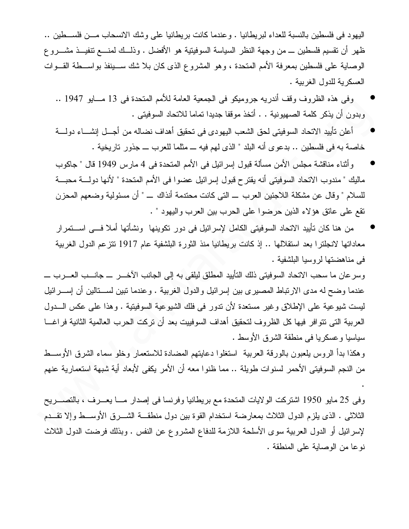اليهود في فلسطين بالنسبة للعداء لبريطانيا . وعندما كانت بريطانيا على وشك الانسحاب مـــن فلســـطين .. ظهر أن نقسيم فلسطين \_ من وجهة النظر السياسة السوفيتية هو الأفضل . وذلـــك لمنــــع نتفيـــذ مشـــــرو ع الوصابة على فلسطين بمعرفة الأمم المتحدة ، وهو المشروع الذي كان بلا شك ســـبنفذ بواســـطة القـــوات العسكر بة للدول الغربية .

- و في هذه الظر و ف وقف أندر به جر ومبكو ً في الجمعية العامة للأمم المتحدة في 13 مـــابو 1947 .. وبدون أن يذكر كلمة الصهيونية . . أتخذ موقفا جديدا تماما للاتحاد السوفيتي .
- أعلن تأييد الاتحاد السوفيتي لحق الشعب اليهودي في تحقيق أهداف نضاله من أجــل إنشـــاء دولــــة خاصة به في فلسطين .. بدعوى أنه البلد " الذي لهم فيه ـــ مثلما للعرب ـــ جذور تاريخية .
- وأثناء مناقشة مجلس الأمن مسألة قبول إسرائيل في الأمم المتحدة في 4 مارس 1949 قال " جاكوب ماليك " مندوب الاتحاد السوفيتي أنه يقترح قبول إسر ائيل عضوا في الأمم المتحدة " لأنها دولــــة محبــــة للسلام " وقال عن مشكلة اللاجئين العرب \_ التي كانت محتدمة أنذاك \_ " أن مسئولية وضعهم المحزن نقع على عانق هؤلاء الذين حرضوا على الحرب بين العرب واليهود " .
- من هنا كان تأييد الاتحاد السوفيتي الكامل لإسرائيل في دور تكوينها ونشأتها أملا فـــي اســـتمر ار معاداتها لانجلترا بعد استقلالها .. إذ كانت بريطانيا منذ الثورة البلشفية عام 1917 تتزعم الدول الغربية في مناهضتها لروسيا البلشفية .

وسر عان ما سحب الاتحاد السوفيتي ذلك التأييد المطلق ليلقي به إلى الجانب الآخـــر ـــ جانـــب العـــر ب ـــ عندما وضح له مدى الارتباط المصيرى بين إسرائيل والدول الغربية . وعندما تبين لســـنالين أن إســـرائيل ليست شيوعية على الإطلاق وغير مستعدة لأن ندور في فلك الشيوعية السوفيتية . وهذا على عكس الـــدول العربية التي تتوافر فيها كل الظروف لتحقيق أهداف السوفييت بعد أن تركت الحرب العالمية الثانية فراغـــا سياسيا وعسكريا في منطقة الشرق الأوسط .

وهكذا بدأ الروس بلعبون بالورقة العربية ۖ استغلوا دعايتهم المضادة للاستعمار وخلو سماء الشرق الأوســط من النجم السوفيتي الأحمر لسنوات طويلة .. مما ظنوا معه أن الأمر يكفي لأبعاد أية شبهة استعمارية عنهم

وفي 25 مايو 1950 اشتركت الولايات المتحدة مع بريطانيا وفرنسا في إصدار مـــا يعـــرف ، بالتصــــريح الثلاثي . الذي يلزم الدول الثلاث بمعارضة استخدام القوة بين دول منطقـــة الشــــرق الأوســــط وإلا نقـــدم لإسرائيل أو الدول العربية سوى الأسلحة اللازمة للدفاع المشروع عن النفس . وبذلك فرضت الدول الثلاث نوعا من الوصابة على المنطقة .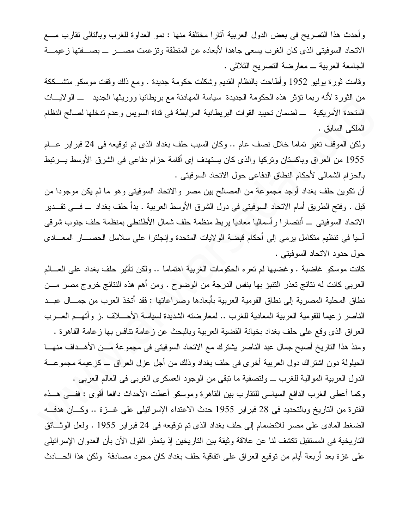وأحدث هذا النصريح في بعض الدول العربية أثارًا مختلفة منها : نمو العداوة للغرب وبالنالي نقارب مـــع الاتحاد السوفيتي الذي كان الغرب يسعى جاهدا لأبعاده عن المنطقة ونترعمت مصـــــر ــــ بصــــفتها زعيمــــة الجامعة العربية \_ معارضة التصريح الثلاثي .

وقامت ثورة يوليو 1952 وأطاحت بالنظام القديم وشكلت حكومة جديدة . ومع ذلك وقفت موسكو منتثســككة من الثورة لأنه ربما نؤثر هذه الحكومة الجديدة سياسة المهادنة مع بريطانيا ووريثها الجديد ـــ الولايـــات المتحدة الأمريكية ـــ لضمان تحييد القوات البريطانية المر ابطة في قناة السويس وعدم تدخلها لصالح النظام الملكي السابق .

ولكن الموقف تغير تماما خلال نصف عام .. وكان السبب حلف بغداد الذي تم توقيعه في 24 فبراير عـــام 1955 من العراق وباكستان ونركبا والذي كان يستهدف إي أقامة حزام دفاعي في الشرق الأوسط يـــرنبط بالحزام الشمالي لأحكام النطاق الدفاعي حول الاتحاد السوفيتي .

أن تكوين حلف بغداد أوجد مجموعة من المصالح بين مصر والاتحاد السوفيتي وهو ما لم يكن موجودا من قبل . وفتح الطريق أمام الاتحاد السوفيتي في دول الشرق الأوسط العربية . بدأ حلف بغداد ــــ فـــي تقـــدير الاتحاد السوفيتي \_ أنتصار ا رأسماليا معاديا يربط منظمة حلف شمال الأطلنطي بمنظمة حلف جنوب شرقي أسيا في تنظيم متكامل يرمي إلى أحكام قبضة الولايات المتحدة وإنجلترا على سلاسل الحصـــار المعـــادي حول حدود الاتحاد السوفيتي .

كانت موسكو غاضبة . وغضبها لم تعره الحكومات الغربية اهتماما .. ولكن تأثير حلف بغداد على العـــالم العربي كانت له نتائج تعذر التتبؤ بها بنفس الدرجة من الوضوح . ومن أهم هذه النتائج خروج مصر مـــن نطاق المحلية المصرية إلى نطاق القومية العربية بأبعادها وصراعاتها : فقد أتخذ العرب من جمـــال عبـــد الناصر زعيما للقومية العربية المعادية للغرب .. لمعارضته الشديدة لسياسة الأحـــلاف .ز وأتهـــم العـــرب العراق الذي وقع على حلف بغداد بخيانة القضية العربية وبالبحث عن زعامة نتافس بها زعامة القاهرة . ومنذ هذا التاريخ أصبح جمال عبد الناصر يشترك مع الاتحاد السوفيتي في مجموعة مـــن الأهـــداف منهـــا الحيلولة دون اشتراك دول العربية أخرى في حلف بغداد وذلك من أجل عزل العراق ـــ كزعيمة مجموعـــة الدول العربية الموالية للغرب ـــ ولتصفية ما نبقى من الوجود العسكري الغربي في العالم العربي .

وكما أعطي الغرب الدافع السياسي للنقارب بين القاهرة وموسكو أعطت الأحداث دافعا أقوى : ففــي هــذه الفترة من التاريخ وبالتحديد في 28 فبراير 1955 حدث الاعتداء الإسرائيلي على غـــزة .. وكـــان هدفـــه الضغط المادي على مصر للانضمام إلى حلف بغداد الذي تم توقيعه في 24 فبر اير 1955 . ولعل الوثــائق التاريخية في المستقبل تكشف لنا عن علاقة وثيقة بين التاريخين إذ يتعذر القول الآن بأن العدوان الإسرائيلي على غزة بعد أربعة أيام من نوقيع العراق على اتفاقية حلف بغداد كان مجرد مصادفة ولكن هذا الحسادث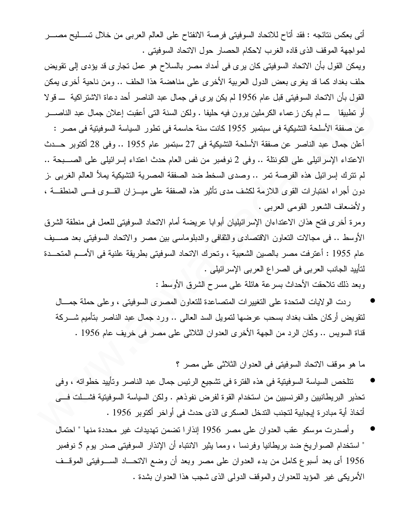أتي بعكس نتائجه : فقد أتاح للاتحاد السوفيتي فرصة الانفتاح على العالم العربي من خلال تســـليح مصــــر لمواجهة الموقف الذي قاده الغرب لاحكام الحصار حول الاتحاد السوفيتي .

ويمكن القول بأن الاتحاد السوفيتي كان يرى في أمداد مصر بالسلاح هو عمل تجارى قد يؤدى إلى تقويض حلف بغداد كما قد يغري بعض الدول العربية الأخرى على مناهضة هذا الحلف .. ومن ناحية أخرى يمكن القول بأن الاتحاد السوفيتي قبل عام 1956 لم يكن يرى في جمال عبد الناصر أحد دعاة الاشتراكية ـــ قولا أو نطبيقا ـــ لم يكن ز عماء الكرملين برون فيه حليفا . ولكن السنة التبي أعقبت إعلان جمال عبد الناصــــر عن صفقة الأسلحة التشيكية في سبتمبر 1955 كانت سنة حاسمة في نطور السياسة السوفيتية في مصر : أعلن جمال عبد الناصر عن صفقة الأسلحة التشبكية في 27 سبتمبر عام 1955 .. وفي 28 أكتوبر حـــدث الاعتداء الإسرائيلي على الكونتلة .. وفي 2 نوفمبر من نفس العام حدث اعتداء إسرائيلي على الصـــبحة .. لم نترك إسرائيل هذه الفرصة تمر .. وصدى السخط ضد الصفقة المصرية التشبكية بملأ العالم الغربي .ز دون أجراء اختبارات القوى اللازمة لكشف مدى تأثير هذه الصفقة على ميـــزان القـــوى فـــى المنطقـــة ، ولأضعاف الشعور القومي العربي .

ومرة أخرى فتح هذان الاعتداءان الإسرائيليان أبوابا عريضة أمام الاتحاد السوفيتي للعمل في منطقة الشرق الأوسط .. في مجالات النعاون الاقتصادي والثقافي والدبلوماسي بين مصر والانحاد السوفيتي بعد صــــبف عام 1955 : أعترفت مصر بالصين الشعبية ، وتحرك الاتحاد السوفيتي بطريقة علنية في الأمـــم المتحـــدة لتأييد الجانب العربي في الصراع العربي الإسرائيلي . وبعد ذلك تلاحقت الأحداث بسرعة هائلة على مسرح الشرق الأوسط :

ردت الولايات المتحدة على التغييرات المتصاعدة للتعاون المصرى السوفيتي ، وعلى حملة جمــال لنقويض أركان حلف بغداد بسحب عرضها لنمويل السد العالمي .. ورد جمال عبد الناصر بنأميم شــــركة قناة السويس .. وكان الرد من الجهة الأخرى العدوان الثلاثي على مصر في خريف عام 1956 .

ما هو موقف الاتحاد السوفيتي في العدوان الثلاثي على مصر ؟

- تتلخص السياسة السوفيتية في هذه الفترة في تشجيع الرئيس جمال عبد الناصر وتأييد خطواته ، وفي تحذير البريطانيين والفرنسيين من استخدام القوة لفرض نفوذهم . ولكن السياسة السوفيتية فشطت في أتخاذ أية مبادر ة إيجابية لتجنب التدخل العسكر ي الذي حدث في أو اخر أكتوبر 1956 .
- وأصدرت موسكو عقب العدوان على مصر 1956 إنذار ا تضمن تهديدات غير محددة منها " احتمال " استخدام الصواريخ ضد بريطانيا وفرنسا ، ومما يثير الانتباه أن الإنذار السوفيتي صدر يوم 5 نوفمبر 1956 أي بعد أسبوع كامل من بدء العدوان على مصر وبعد أن وضع الاتحـــاد الســـوفيتـي الموقـــف الأمريكي غير المؤيد للعدوان والموقف الدولي الذي شجب هذا العدوان بشدة .